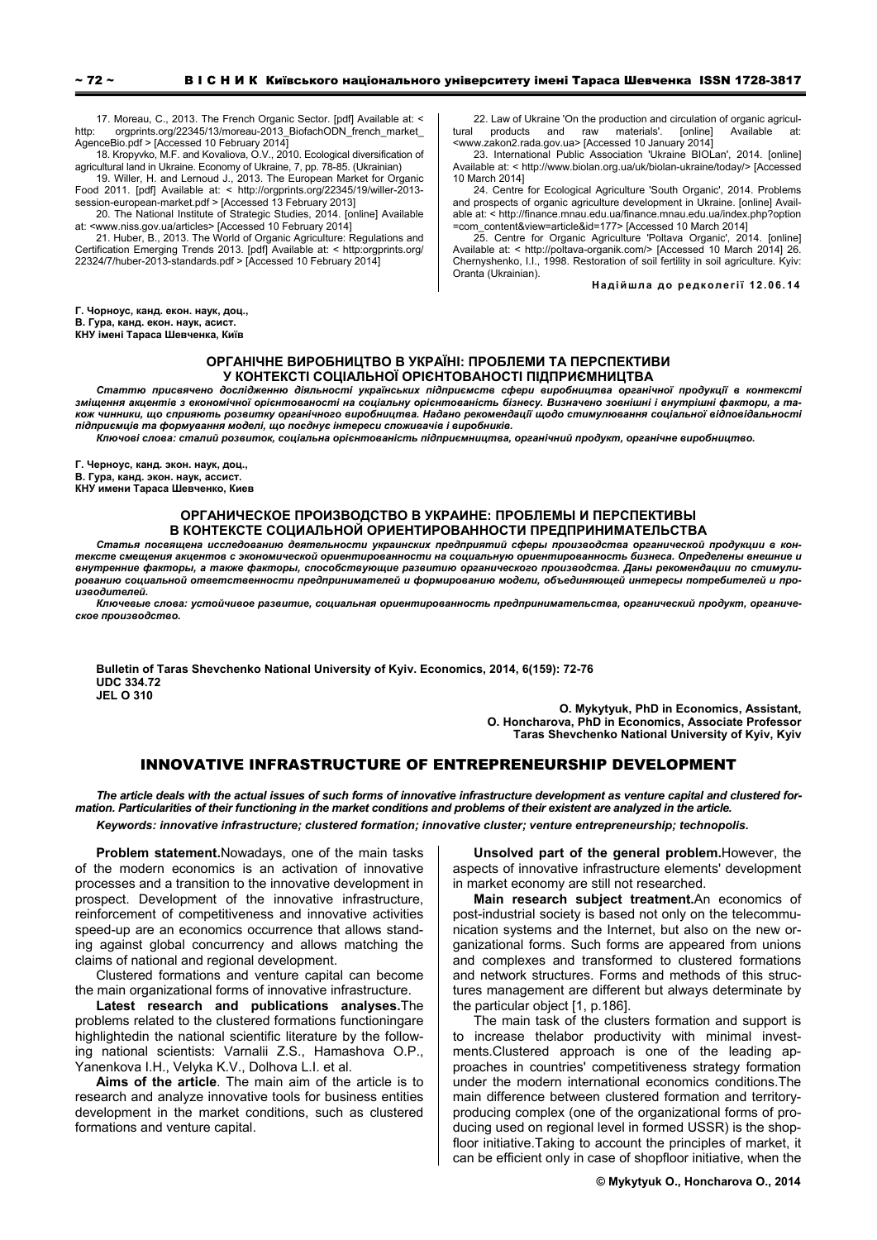17. Moreau, C., 2013. The French Organic Sector. [pdf] Available at: < http: orgprints.org/22345/13/moreau-2013\_BiofachODN\_french\_market AgenceBio.pdf > [Accessed 10 February 2014]

18. Kropyvko, M.F. and Kovaliova, O.V., 2010. Ecological diversification of agricultural land in Ukraine. Economy of Ukraine, 7, pp. 78-85. (Ukrainian)

19. Willer, H. and Lernoud J., 2013. The European Market for Organic Food 2011. [pdf] Available at: < http://orgprints.org/22345/19/willer-2013 session-european-market.pdf > [Accessed 13 February 2013]

20. The National Institute of Strategic Studies, 2014. [online] Available at: <www.niss.gov.ua/articles> [Accessed 10 February 2014]

21. Huber, B., 2013. The World of Organic Agriculture: Regulations and Certification Emerging Trends 2013. [pdf] Available at: < http:orgprints.org/ 22324/7/huber-2013-standards.pdf > [Accessed 10 February 2014]

**Г. Чорноус, канд. екон. наук, доц., В. Гура, канд. екон. наук, асист.** 

**КНУ імені Тараса Шевченка, Київ**

#### 22. Law of Ukraine 'On the production and circulation of organic agricultural products and raw materials'. [online] Available at: <www.zakon2.rada.gov.ua> [Accessed 10 January 2014]

23. International Public Association 'Ukraine BIOLan', 2014. [online] Available at: < http://www.biolan.org.ua/uk/biolan-ukraine/today/> [Accessed 10 March 2014]

24. Centre for Ecological Agriculture 'South Organic', 2014. Problems and prospects of organic agriculture development in Ukraine. [online] Available at: < http://finance.mnau.edu.ua/finance.mnau.edu.ua/index.php?option =com\_content&view=article&id=177> [Accessed 10 March 2014]

25. Centre for Organic Agriculture 'Poltava Organic', 2014. [online] Available at: < http://poltava-organik.com/> [Accessed 10 March 2014] 26. Chernyshenko, I.I., 1998. Restoration of soil fertility in soil agriculture. Kyiv: Oranta (Ukrainian).

Надійшла до редколегії 12.06.14

## **ОРГАНІЧНЕ ВИРОБНИЦТВО В УКРАЇНІ: ПРОБЛЕМИ ТА ПЕРСПЕКТИВИ У КОНТЕКСТІ СОЦІАЛЬНОЇ ОРІЄНТОВАНОСТІ ПІДПРИЄМНИЦТВА**

*Статтю присвячено дослідженню діяльності українських підприємств сфери виробництва органічної продукції в контексті* зміщення акцентів з економічної орієнтованості на соціальну орієнтованість бізнесу. Визначено зовнішні і внутрішні фактори, а також чинники, що сприяють розвитку органічного виробництва. Надано рекомендації щодо стимулювання соціальної відповідальності *підприємців та формування моделі, що поєднує інтереси споживачів і виробників.* 

Ключові слова: сталий розвиток, соціальна орієнтованість підприємництва, органічний продукт, органічне виробництво.

**Г. Черноус, канд. экон. наук, доц., В. Гура, канд. экон. наук, ассист. КНУ имени Тараса Шевченко, Киев**

## **ОРГАНИЧЕСКОЕ ПРОИЗВОДСТВО В УКРАИНЕ: ПРОБЛЕМЫ И ПЕРСПЕКТИВЫ В КОНТЕКСТЕ СОЦИАЛЬНОЙ ОРИЕНТИРОВАННОСТИ ПРЕДПРИНИМАТЕЛЬСТВА**

*Статья посвящена исследованию деятельности украинских предприятий сферы производства органической продукции в контексте смещения акцентов с экономической ориентированности на социальную ориентированность бизнеса. Определены внешние и* внутренние факторы, а также факторы, способствующие развитию органического производства. Даны рекомендации по стимули*рованию социальной ответственности предпринимателей и формированию модели, объединяющей интересы потребителей и производителей.* 

*Ключевые слова: устойчивое развитие, социальная ориентированность предпринимательства, органический продукт, органическое производство.* 

**Bulletin of Taras Shevchenko National University of Kyiv. Economics, 2014, 6(159): 72-76 UDC 334.72 JEL O 310** 

> **O. Mykytyuk, PhD in Economics, Assistant, O. Honcharova, PhD in Economics, Associate Professor Taras Shevchenko National University of Kyiv, Kyiv**

## INNOVATIVE INFRASTRUCTURE OF ENTREPRENEURSHIP DEVELOPMENT

*The article deals with the actual issues of such forms of innovative infrastructure development as venture capital and clustered formation. Particularities of their functioning in the market conditions and problems of their existent are analyzed in the article.* 

*Keywords: innovative infrastructure; clustered formation; innovative cluster; venture entrepreneurship; technopolis.* 

**Problem statement.**Nowadays, one of the main tasks of the modern economics is an activation of innovative processes and a transition to the innovative development in prospect. Development of the innovative infrastructure, reinforcement of competitiveness and innovative activities speed-up are an economics occurrence that allows standing against global concurrency and allows matching the claims of national and regional development.

Clustered formations and venture capital can become the main organizational forms of innovative infrastructure.

**Latest research and publications analyses.**The problems related to the clustered formations functioningare highlightedin the national scientific literature by the following national scientists: Varnalii Z.S., Hamashova O.P., Yanenkova I.H., Velyka K.V., Dolhova L.I. et al.

**Aims of the article**. The main aim of the article is to research and analyze innovative tools for business entities development in the market conditions, such as clustered formations and venture capital.

**Unsolved part of the general problem.**However, the aspects of innovative infrastructure elements' development in market economy are still not researched.

**Main research subject treatment.**An economics of post-industrial society is based not only on the telecommunication systems and the Internet, but also on the new organizational forms. Such forms are appeared from unions and complexes and transformed to clustered formations and network structures. Forms and methods of this structures management are different but always determinate by the particular object [1, p.186].

The main task of the clusters formation and support is to increase thelabor productivity with minimal investments.Clustered approach is one of the leading approaches in countries' competitiveness strategy formation under the modern international economics conditions.The main difference between clustered formation and territoryproducing complex (one of the organizational forms of producing used on regional level in formed USSR) is the shopfloor initiative.Taking to account the principles of market, it can be efficient only in case of shopfloor initiative, when the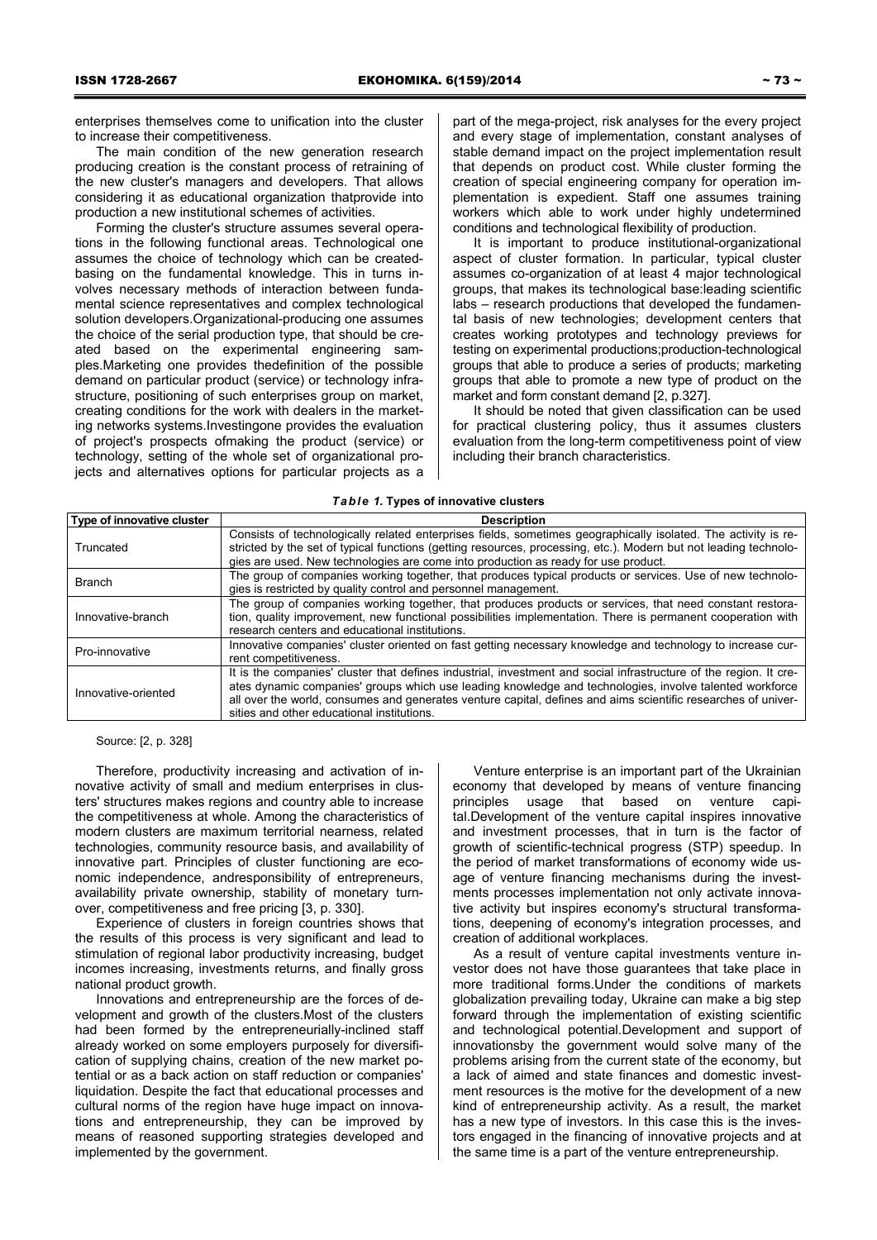enterprises themselves come to unification into the cluster to increase their competitiveness.

The main condition of the new generation research producing creation is the constant process of retraining of the new cluster's managers and developers. That allows considering it as educational organization thatprovide into production a new institutional schemes of activities.

Forming the cluster's structure assumes several operations in the following functional areas. Technological one assumes the choice of technology which can be createdbasing on the fundamental knowledge. This in turns involves necessary methods of interaction between fundamental science representatives and complex technological solution developers.Organizational-producing one assumes the choice of the serial production type, that should be created based on the experimental engineering samples.Marketing one provides thedefinition of the possible demand on particular product (service) or technology infrastructure, positioning of such enterprises group on market, creating conditions for the work with dealers in the marketing networks systems.Investingone provides the evaluation of project's prospects ofmaking the product (service) or technology, setting of the whole set of organizational projects and alternatives options for particular projects as a

part of the mega-project, risk analyses for the every project and every stage of implementation, constant analyses of stable demand impact on the project implementation result that depends on product cost. While cluster forming the creation of special engineering company for operation implementation is expedient. Staff one assumes training workers which able to work under highly undetermined conditions and technological flexibility of production.

It is important to produce institutional-organizational aspect of cluster formation. In particular, typical cluster assumes co-organization of at least 4 major technological groups, that makes its technological base:leading scientific labs – research productions that developed the fundamental basis of new technologies; development centers that creates working prototypes and technology previews for testing on experimental productions;production-technological groups that able to produce a series of products; marketing groups that able to promote a new type of product on the market and form constant demand [2, p.327].

It should be noted that given classification can be used for practical clustering policy, thus it assumes clusters evaluation from the long-term competitiveness point of view including their branch characteristics.

| Type of innovative cluster | <b>Description</b>                                                                                                                                                                                                                                                                                                                                                                          |
|----------------------------|---------------------------------------------------------------------------------------------------------------------------------------------------------------------------------------------------------------------------------------------------------------------------------------------------------------------------------------------------------------------------------------------|
| Truncated                  | Consists of technologically related enterprises fields, sometimes geographically isolated. The activity is re-<br>stricted by the set of typical functions (getting resources, processing, etc.). Modern but not leading technolo-<br>gies are used. New technologies are come into production as ready for use product.                                                                    |
| <b>Branch</b>              | The group of companies working together, that produces typical products or services. Use of new technolo-<br>gies is restricted by quality control and personnel management.                                                                                                                                                                                                                |
| Innovative-branch          | The group of companies working together, that produces products or services, that need constant restora-<br>tion, quality improvement, new functional possibilities implementation. There is permanent cooperation with<br>research centers and educational institutions.                                                                                                                   |
| Pro-innovative             | Innovative companies' cluster oriented on fast getting necessary knowledge and technology to increase cur-<br>rent competitiveness.                                                                                                                                                                                                                                                         |
| Innovative-oriented        | It is the companies' cluster that defines industrial, investment and social infrastructure of the region. It cre-<br>ates dynamic companies' groups which use leading knowledge and technologies, involve talented workforce<br>all over the world, consumes and generates venture capital, defines and aims scientific researches of univer-<br>sities and other educational institutions. |

*Table 1.* **Types of innovative clusters**

Source: [2, p. 328]

Therefore, productivity increasing and activation of innovative activity of small and medium enterprises in clusters' structures makes regions and country able to increase the competitiveness at whole. Among the characteristics of modern clusters are maximum territorial nearness, related technologies, community resource basis, and availability of innovative part. Principles of cluster functioning are economic independence, andresponsibility of entrepreneurs, availability private ownership, stability of monetary turnover, competitiveness and free pricing [3, p. 330].

Experience of clusters in foreign countries shows that the results of this process is very significant and lead to stimulation of regional labor productivity increasing, budget incomes increasing, investments returns, and finally gross national product growth.

Innovations and entrepreneurship are the forces of development and growth of the clusters.Most of the clusters had been formed by the entrepreneurially-inclined staff already worked on some employers purposely for diversification of supplying chains, creation of the new market potential or as a back action on staff reduction or companies' liquidation. Despite the fact that educational processes and cultural norms of the region have huge impact on innovations and entrepreneurship, they can be improved by means of reasoned supporting strategies developed and implemented by the government.

Venture enterprise is an important part of the Ukrainian economy that developed by means of venture financing principles usage that based on venture capital.Development of the venture capital inspires innovative and investment processes, that in turn is the factor of growth of scientific-technical progress (STP) speedup. In the period of market transformations of economy wide usage of venture financing mechanisms during the investments processes implementation not only activate innovative activity but inspires economy's structural transformations, deepening of economy's integration processes, and creation of additional workplaces.

As a result of venture capital investments venture investor does not have those guarantees that take place in more traditional forms.Under the conditions of markets globalization prevailing today, Ukraine can make a big step forward through the implementation of existing scientific and technological potential.Development and support of innovationsby the government would solve many of the problems arising from the current state of the economy, but a lack of aimed and state finances and domestic investment resources is the motive for the development of a new kind of entrepreneurship activity. As a result, the market has a new type of investors. In this case this is the investors engaged in the financing of innovative projects and at the same time is a part of the venture entrepreneurship.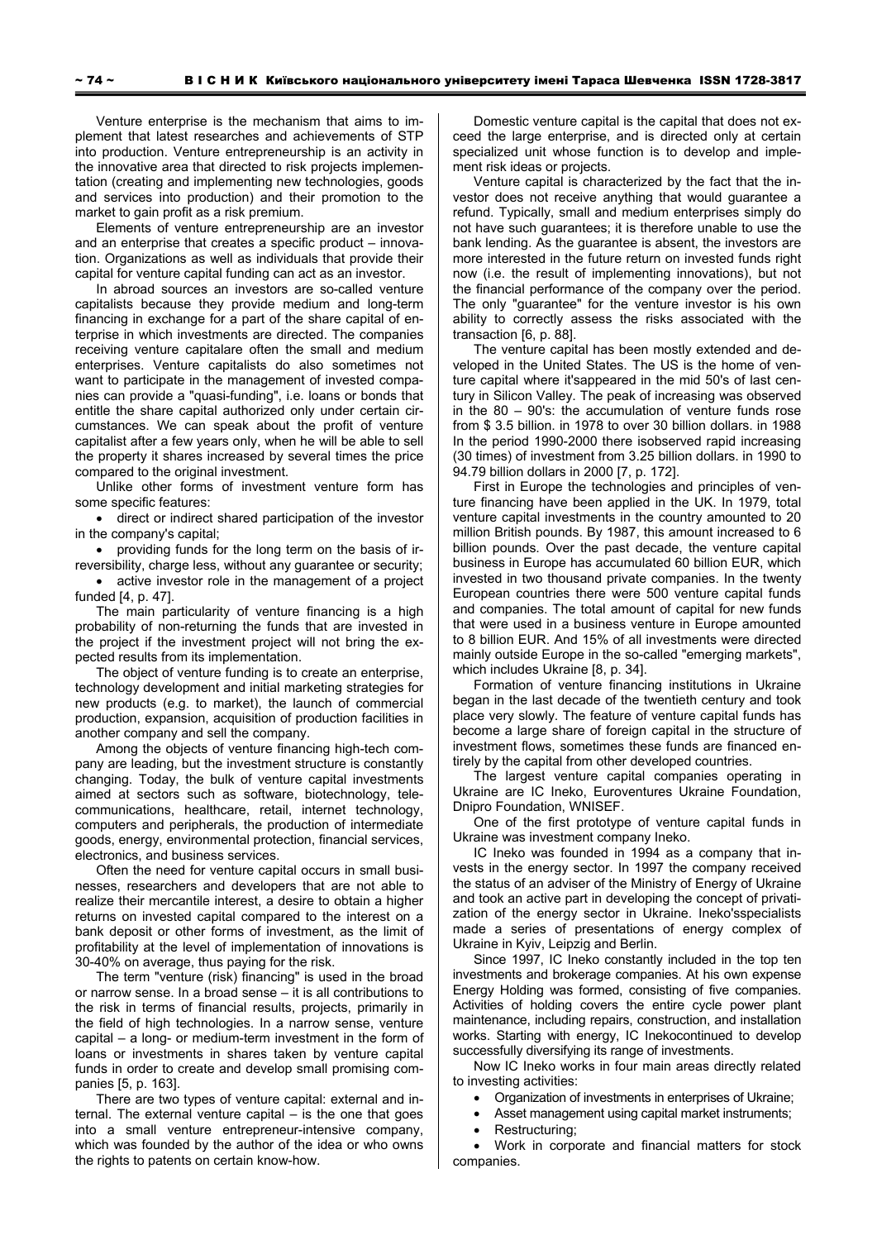Venture enterprise is the mechanism that aims to implement that latest researches and achievements of STP into production. Venture entrepreneurship is an activity in the innovative area that directed to risk projects implementation (creating and implementing new technologies, goods and services into production) and their promotion to the market to gain profit as a risk premium.

Elements of venture entrepreneurship are an investor and an enterprise that creates a specific product – innovation. Organizations as well as individuals that provide their capital for venture capital funding can act as an investor.

In abroad sources an investors are so-called venture capitalists because they provide medium and long-term financing in exchange for a part of the share capital of enterprise in which investments are directed. The companies receiving venture capitalare often the small and medium enterprises. Venture capitalists do also sometimes not want to participate in the management of invested companies can provide a "quasi-funding", i.e. loans or bonds that entitle the share capital authorized only under certain circumstances. We can speak about the profit of venture capitalist after a few years only, when he will be able to sell the property it shares increased by several times the price compared to the original investment.

Unlike other forms of investment venture form has some specific features:

 direct or indirect shared participation of the investor in the company's capital;

providing funds for the long term on the basis of ir-

reversibility, charge less, without any guarantee or security; • active investor role in the management of a project funded [4, p. 47].

The main particularity of venture financing is a high probability of non-returning the funds that are invested in the project if the investment project will not bring the expected results from its implementation.

The object of venture funding is to create an enterprise, technology development and initial marketing strategies for new products (e.g. to market), the launch of commercial production, expansion, acquisition of production facilities in another company and sell the company.

Among the objects of venture financing high-tech company are leading, but the investment structure is constantly changing. Today, the bulk of venture capital investments aimed at sectors such as software, biotechnology, telecommunications, healthcare, retail, internet technology, computers and peripherals, the production of intermediate goods, energy, environmental protection, financial services, electronics, and business services.

Often the need for venture capital occurs in small businesses, researchers and developers that are not able to realize their mercantile interest, a desire to obtain a higher returns on invested capital compared to the interest on a bank deposit or other forms of investment, as the limit of profitability at the level of implementation of innovations is 30-40% on average, thus paying for the risk.

The term "venture (risk) financing" is used in the broad or narrow sense. In a broad sense – it is all contributions to the risk in terms of financial results, projects, primarily in the field of high technologies. In a narrow sense, venture capital – a long- or medium-term investment in the form of loans or investments in shares taken by venture capital funds in order to create and develop small promising companies [5, p. 163].

There are two types of venture capital: external and internal. The external venture capital – is the one that goes into a small venture entrepreneur-intensive company, which was founded by the author of the idea or who owns the rights to patents on certain know-how.

Domestic venture capital is the capital that does not exceed the large enterprise, and is directed only at certain specialized unit whose function is to develop and implement risk ideas or projects.

Venture capital is characterized by the fact that the investor does not receive anything that would guarantee a refund. Typically, small and medium enterprises simply do not have such guarantees; it is therefore unable to use the bank lending. As the guarantee is absent, the investors are more interested in the future return on invested funds right now (i.e. the result of implementing innovations), but not the financial performance of the company over the period. The only "guarantee" for the venture investor is his own ability to correctly assess the risks associated with the transaction [6, p. 88].

The venture capital has been mostly extended and developed in the United States. The US is the home of venture capital where it'sappeared in the mid 50's of last century in Silicon Valley. The peak of increasing was observed in the 80 – 90's: the accumulation of venture funds rose from \$ 3.5 billion. in 1978 to over 30 billion dollars. in 1988 In the period 1990-2000 there isobserved rapid increasing (30 times) of investment from 3.25 billion dollars. in 1990 to 94.79 billion dollars in 2000 [7, p. 172].

First in Europe the technologies and principles of venture financing have been applied in the UK. In 1979, total venture capital investments in the country amounted to 20 million British pounds. By 1987, this amount increased to 6 billion pounds. Over the past decade, the venture capital business in Europe has accumulated 60 billion EUR, which invested in two thousand private companies. In the twenty European countries there were 500 venture capital funds and companies. The total amount of capital for new funds that were used in a business venture in Europe amounted to 8 billion EUR. And 15% of all investments were directed mainly outside Europe in the so-called "emerging markets", which includes Ukraine [8, p. 34].

Formation of venture financing institutions in Ukraine began in the last decade of the twentieth century and took place very slowly. The feature of venture capital funds has become a large share of foreign capital in the structure of investment flows, sometimes these funds are financed entirely by the capital from other developed countries.

The largest venture capital companies operating in Ukraine are IC Ineko, Euroventures Ukraine Foundation, Dnipro Foundation, WNISEF.

One of the first prototype of venture capital funds in Ukraine was investment company Ineko.

IC Ineko was founded in 1994 as a company that invests in the energy sector. In 1997 the company received the status of an adviser of the Ministry of Energy of Ukraine and took an active part in developing the concept of privatization of the energy sector in Ukraine. Ineko'sspecialists made a series of presentations of energy complex of Ukraine in Kyiv, Leipzig and Berlin.

Since 1997, IC Ineko constantly included in the top ten investments and brokerage companies. At his own expense Energy Holding was formed, consisting of five companies. Activities of holding covers the entire cycle power plant maintenance, including repairs, construction, and installation works. Starting with energy, IC Inekocontinued to develop successfully diversifying its range of investments.

Now IC Ineko works in four main areas directly related to investing activities:

Organization of investments in enterprises of Ukraine;

- Asset management using capital market instruments;
- Restructuring;

 Work in corporate and financial matters for stock companies.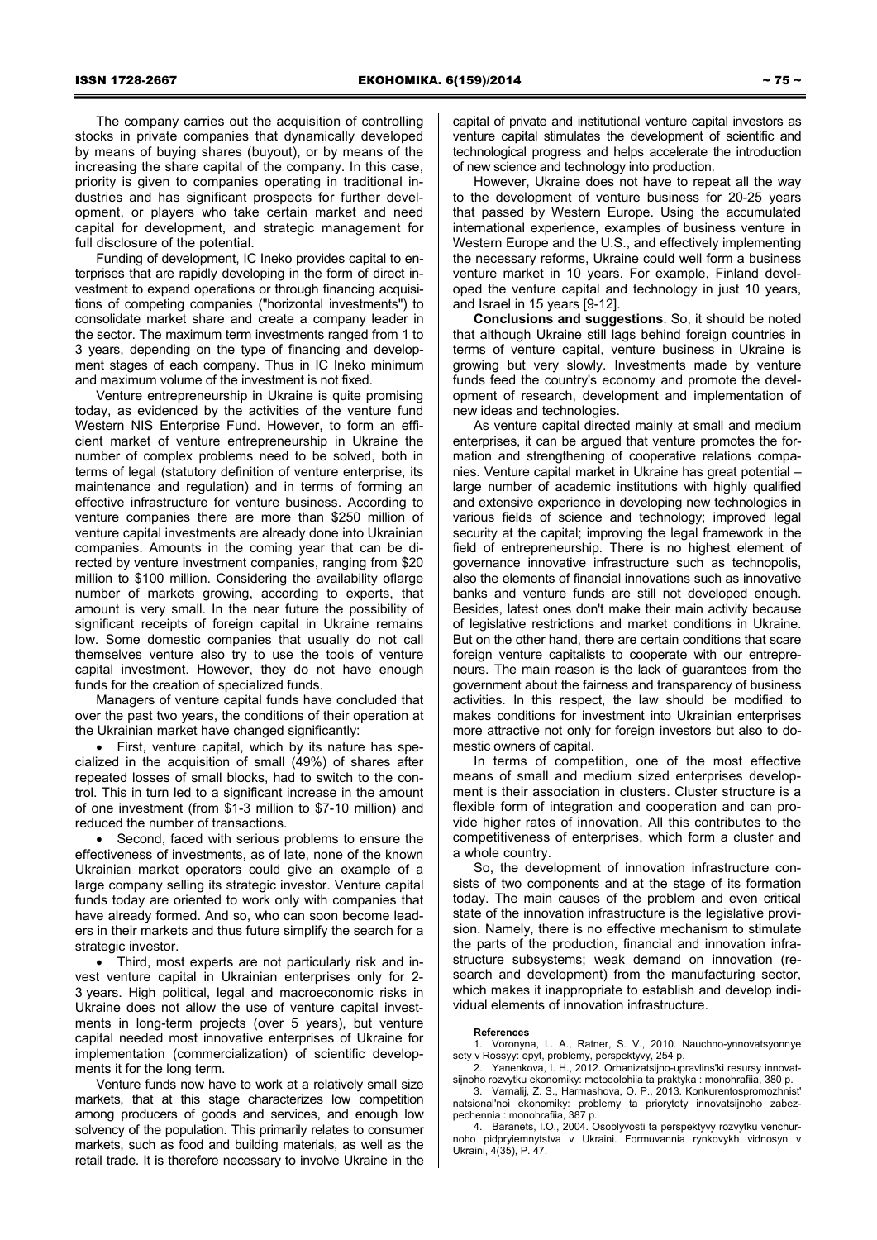The company carries out the acquisition of controlling stocks in private companies that dynamically developed by means of buying shares (buyout), or by means of the increasing the share capital of the company. In this case, priority is given to companies operating in traditional industries and has significant prospects for further development, or players who take certain market and need capital for development, and strategic management for full disclosure of the potential.

Funding of development, IC Ineko provides capital to enterprises that are rapidly developing in the form of direct investment to expand operations or through financing acquisitions of competing companies ("horizontal investments") to consolidate market share and create a company leader in the sector. The maximum term investments ranged from 1 to 3 years, depending on the type of financing and development stages of each company. Thus in IC Ineko minimum and maximum volume of the investment is not fixed.

Venture entrepreneurship in Ukraine is quite promising today, as evidenced by the activities of the venture fund Western NIS Enterprise Fund. However, to form an efficient market of venture entrepreneurship in Ukraine the number of complex problems need to be solved, both in terms of legal (statutory definition of venture enterprise, its maintenance and regulation) and in terms of forming an effective infrastructure for venture business. According to venture companies there are more than \$250 million of venture capital investments are already done into Ukrainian companies. Amounts in the coming year that can be directed by venture investment companies, ranging from \$20 million to \$100 million. Considering the availability oflarge number of markets growing, according to experts, that amount is very small. In the near future the possibility of significant receipts of foreign capital in Ukraine remains low. Some domestic companies that usually do not call themselves venture also try to use the tools of venture capital investment. However, they do not have enough funds for the creation of specialized funds.

Managers of venture capital funds have concluded that over the past two years, the conditions of their operation at the Ukrainian market have changed significantly:

 First, venture capital, which by its nature has specialized in the acquisition of small (49%) of shares after repeated losses of small blocks, had to switch to the control. This in turn led to a significant increase in the amount of one investment (from \$1-3 million to \$7-10 million) and reduced the number of transactions.

 Second, faced with serious problems to ensure the effectiveness of investments, as of late, none of the known Ukrainian market operators could give an example of a large company selling its strategic investor. Venture capital funds today are oriented to work only with companies that have already formed. And so, who can soon become leaders in their markets and thus future simplify the search for a strategic investor.

 Third, most experts are not particularly risk and invest venture capital in Ukrainian enterprises only for 2- 3 years. High political, legal and macroeconomic risks in Ukraine does not allow the use of venture capital investments in long-term projects (over 5 years), but venture capital needed most innovative enterprises of Ukraine for implementation (commercialization) of scientific developments it for the long term.

Venture funds now have to work at a relatively small size markets, that at this stage characterizes low competition among producers of goods and services, and enough low solvency of the population. This primarily relates to consumer markets, such as food and building materials, as well as the retail trade. It is therefore necessary to involve Ukraine in the capital of private and institutional venture capital investors as venture capital stimulates the development of scientific and technological progress and helps accelerate the introduction of new science and technology into production.

However, Ukraine does not have to repeat all the way to the development of venture business for 20-25 years that passed by Western Europe. Using the accumulated international experience, examples of business venture in Western Europe and the U.S., and effectively implementing the necessary reforms, Ukraine could well form a business venture market in 10 years. For example, Finland developed the venture capital and technology in just 10 years, and Israel in 15 years [9-12].

**Conclusions and suggestions**. So, it should be noted that although Ukraine still lags behind foreign countries in terms of venture capital, venture business in Ukraine is growing but very slowly. Investments made by venture funds feed the country's economy and promote the development of research, development and implementation of new ideas and technologies.

As venture capital directed mainly at small and medium enterprises, it can be argued that venture promotes the formation and strengthening of cooperative relations companies. Venture capital market in Ukraine has great potential – large number of academic institutions with highly qualified and extensive experience in developing new technologies in various fields of science and technology; improved legal security at the capital; improving the legal framework in the field of entrepreneurship. There is no highest element of governance innovative infrastructure such as technopolis, also the elements of financial innovations such as innovative banks and venture funds are still not developed enough. Besides, latest ones don't make their main activity because of legislative restrictions and market conditions in Ukraine. But on the other hand, there are certain conditions that scare foreign venture capitalists to cooperate with our entrepreneurs. The main reason is the lack of guarantees from the government about the fairness and transparency of business activities. In this respect, the law should be modified to makes conditions for investment into Ukrainian enterprises more attractive not only for foreign investors but also to domestic owners of capital.

In terms of competition, one of the most effective means of small and medium sized enterprises development is their association in clusters. Cluster structure is a flexible form of integration and cooperation and can provide higher rates of innovation. All this contributes to the competitiveness of enterprises, which form a cluster and a whole country.

So, the development of innovation infrastructure consists of two components and at the stage of its formation today. The main causes of the problem and even critical state of the innovation infrastructure is the legislative provision. Namely, there is no effective mechanism to stimulate the parts of the production, financial and innovation infrastructure subsystems; weak demand on innovation (research and development) from the manufacturing sector, which makes it inappropriate to establish and develop individual elements of innovation infrastructure.

#### **References**

1. Voronyna, L. A., Ratner, S. V., 2010. Nauchno-ynnovatsyonnye sety v Rossyy: opyt, problemy, perspektyvy, 254 p.

2. Yanenkova, I. H., 2012. Orhanizatsijno-upravlins'ki resursy innovatsijnoho rozvytku ekonomiky: metodolohiia ta praktyka : monohrafiia, 380 p. 3. Varnalij, Z. S., Harmashova, O. P., 2013. Konkurentospromozhnist'

natsional'noi ekonomiky: problemy ta priorytety innovatsijnoho zabezpechennia : monohrafiia, 387 p.

<sup>4.</sup> Baranets, I.O., 2004. Osoblyvosti ta perspektyvy rozvytku venchurnoho pidpryiemnytstva v Ukraini. Formuvannia rynkovykh vidnosyn v Ukraini, 4(35), P. 47.